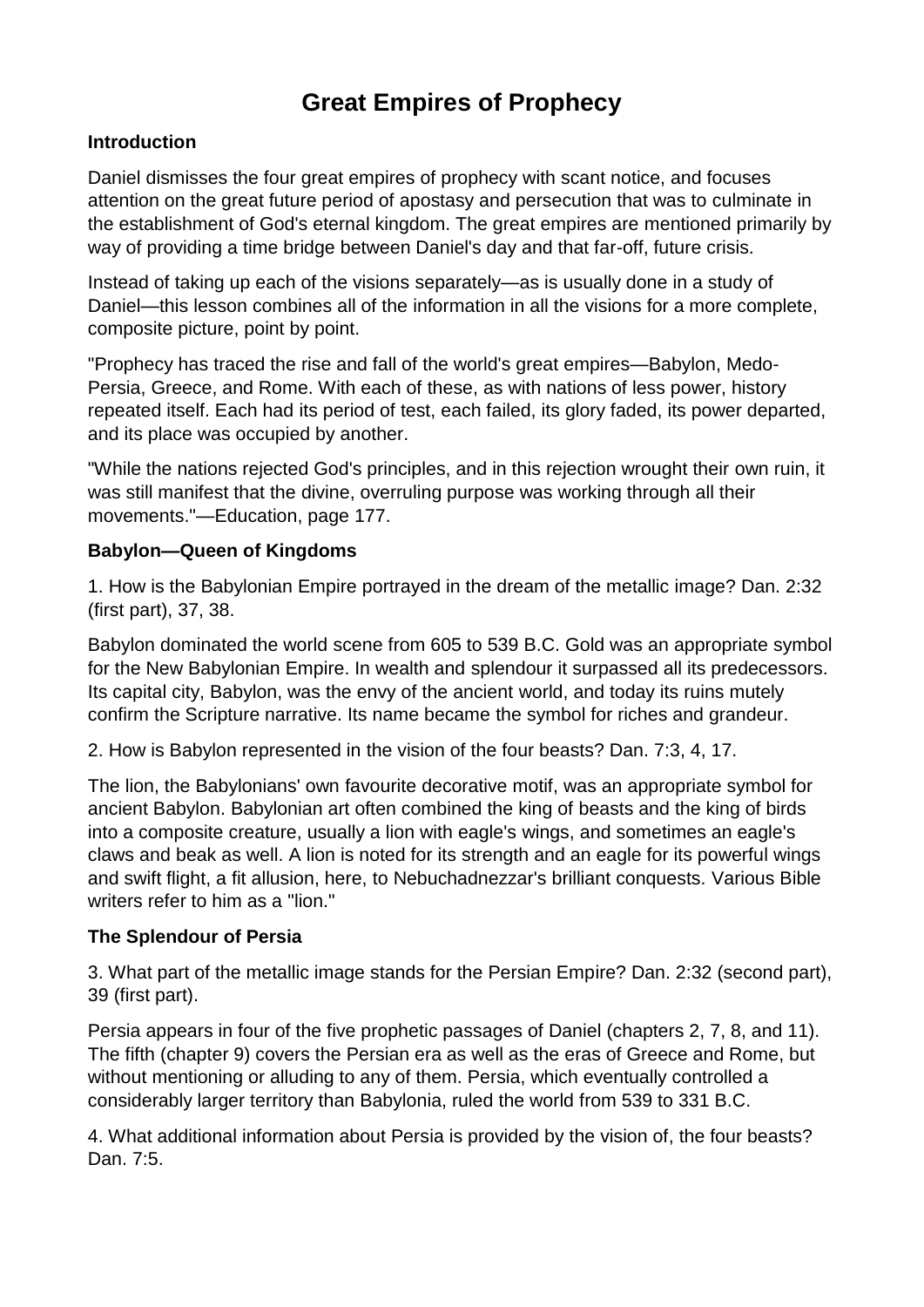# **Great Empires of Prophecy**

#### **Introduction**

Daniel dismisses the four great empires of prophecy with scant notice, and focuses attention on the great future period of apostasy and persecution that was to culminate in the establishment of God's eternal kingdom. The great empires are mentioned primarily by way of providing a time bridge between Daniel's day and that far-off, future crisis.

Instead of taking up each of the visions separately—as is usually done in a study of Daniel—this lesson combines all of the information in all the visions for a more complete, composite picture, point by point.

"Prophecy has traced the rise and fall of the world's great empires—Babylon, Medo-Persia, Greece, and Rome. With each of these, as with nations of less power, history repeated itself. Each had its period of test, each failed, its glory faded, its power departed, and its place was occupied by another.

"While the nations rejected God's principles, and in this rejection wrought their own ruin, it was still manifest that the divine, overruling purpose was working through all their movements."—Education, page 177.

#### **Babylon—Queen of Kingdoms**

1. How is the Babylonian Empire portrayed in the dream of the metallic image? Dan. 2:32 (first part), 37, 38.

Babylon dominated the world scene from 605 to 539 B.C. Gold was an appropriate symbol for the New Babylonian Empire. In wealth and splendour it surpassed all its predecessors. Its capital city, Babylon, was the envy of the ancient world, and today its ruins mutely confirm the Scripture narrative. Its name became the symbol for riches and grandeur.

2. How is Babylon represented in the vision of the four beasts? Dan. 7:3, 4, 17.

The lion, the Babylonians' own favourite decorative motif, was an appropriate symbol for ancient Babylon. Babylonian art often combined the king of beasts and the king of birds into a composite creature, usually a lion with eagle's wings, and sometimes an eagle's claws and beak as well. A lion is noted for its strength and an eagle for its powerful wings and swift flight, a fit allusion, here, to Nebuchadnezzar's brilliant conquests. Various Bible writers refer to him as a "lion."

## **The Splendour of Persia**

3. What part of the metallic image stands for the Persian Empire? Dan. 2:32 (second part), 39 (first part).

Persia appears in four of the five prophetic passages of Daniel (chapters 2, 7, 8, and 11). The fifth (chapter 9) covers the Persian era as well as the eras of Greece and Rome, but without mentioning or alluding to any of them. Persia, which eventually controlled a considerably larger territory than Babylonia, ruled the world from 539 to 331 B.C.

4. What additional information about Persia is provided by the vision of, the four beasts? Dan. 7:5.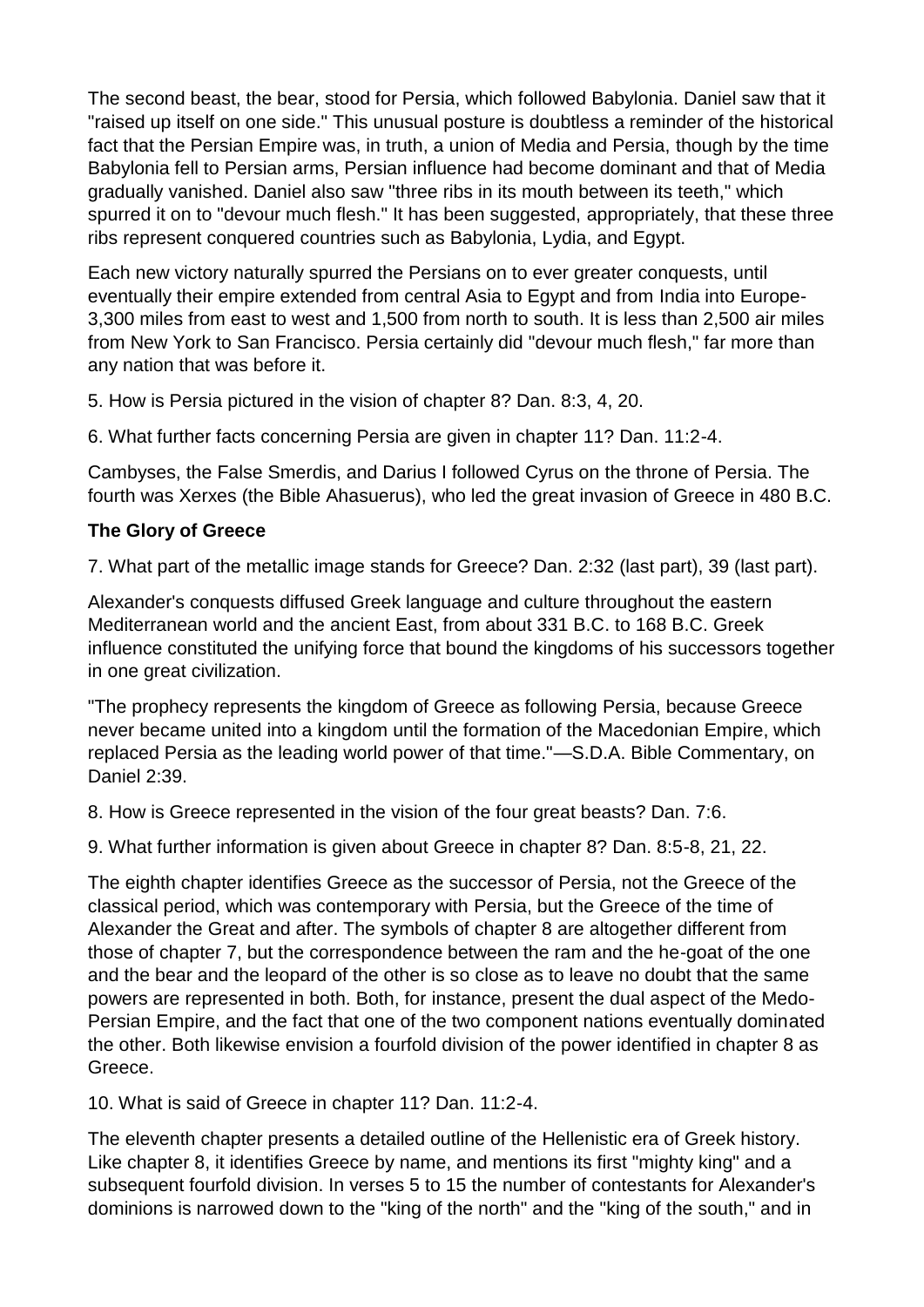The second beast, the bear, stood for Persia, which followed Babylonia. Daniel saw that it "raised up itself on one side." This unusual posture is doubtless a reminder of the historical fact that the Persian Empire was, in truth, a union of Media and Persia, though by the time Babylonia fell to Persian arms, Persian influence had become dominant and that of Media gradually vanished. Daniel also saw "three ribs in its mouth between its teeth," which spurred it on to "devour much flesh." It has been suggested, appropriately, that these three ribs represent conquered countries such as Babylonia, Lydia, and Egypt.

Each new victory naturally spurred the Persians on to ever greater conquests, until eventually their empire extended from central Asia to Egypt and from India into Europe-3,300 miles from east to west and 1,500 from north to south. It is less than 2,500 air miles from New York to San Francisco. Persia certainly did "devour much flesh," far more than any nation that was before it.

5. How is Persia pictured in the vision of chapter 8? Dan. 8:3, 4, 20.

6. What further facts concerning Persia are given in chapter 11? Dan. 11:2-4.

Cambyses, the False Smerdis, and Darius I followed Cyrus on the throne of Persia. The fourth was Xerxes (the Bible Ahasuerus), who led the great invasion of Greece in 480 B.C.

## **The Glory of Greece**

7. What part of the metallic image stands for Greece? Dan. 2:32 (last part), 39 (last part).

Alexander's conquests diffused Greek language and culture throughout the eastern Mediterranean world and the ancient East, from about 331 B.C. to 168 B.C. Greek influence constituted the unifying force that bound the kingdoms of his successors together in one great civilization.

"The prophecy represents the kingdom of Greece as following Persia, because Greece never became united into a kingdom until the formation of the Macedonian Empire, which replaced Persia as the leading world power of that time."—S.D.A. Bible Commentary, on Daniel 2:39.

8. How is Greece represented in the vision of the four great beasts? Dan. 7:6.

9. What further information is given about Greece in chapter 8? Dan. 8:5-8, 21, 22.

The eighth chapter identifies Greece as the successor of Persia, not the Greece of the classical period, which was contemporary with Persia, but the Greece of the time of Alexander the Great and after. The symbols of chapter 8 are altogether different from those of chapter 7, but the correspondence between the ram and the he-goat of the one and the bear and the leopard of the other is so close as to leave no doubt that the same powers are represented in both. Both, for instance, present the dual aspect of the Medo-Persian Empire, and the fact that one of the two component nations eventually dominated the other. Both likewise envision a fourfold division of the power identified in chapter 8 as Greece.

10. What is said of Greece in chapter 11? Dan. 11:2-4.

The eleventh chapter presents a detailed outline of the Hellenistic era of Greek history. Like chapter 8, it identifies Greece by name, and mentions its first "mighty king" and a subsequent fourfold division. In verses 5 to 15 the number of contestants for Alexander's dominions is narrowed down to the "king of the north" and the "king of the south," and in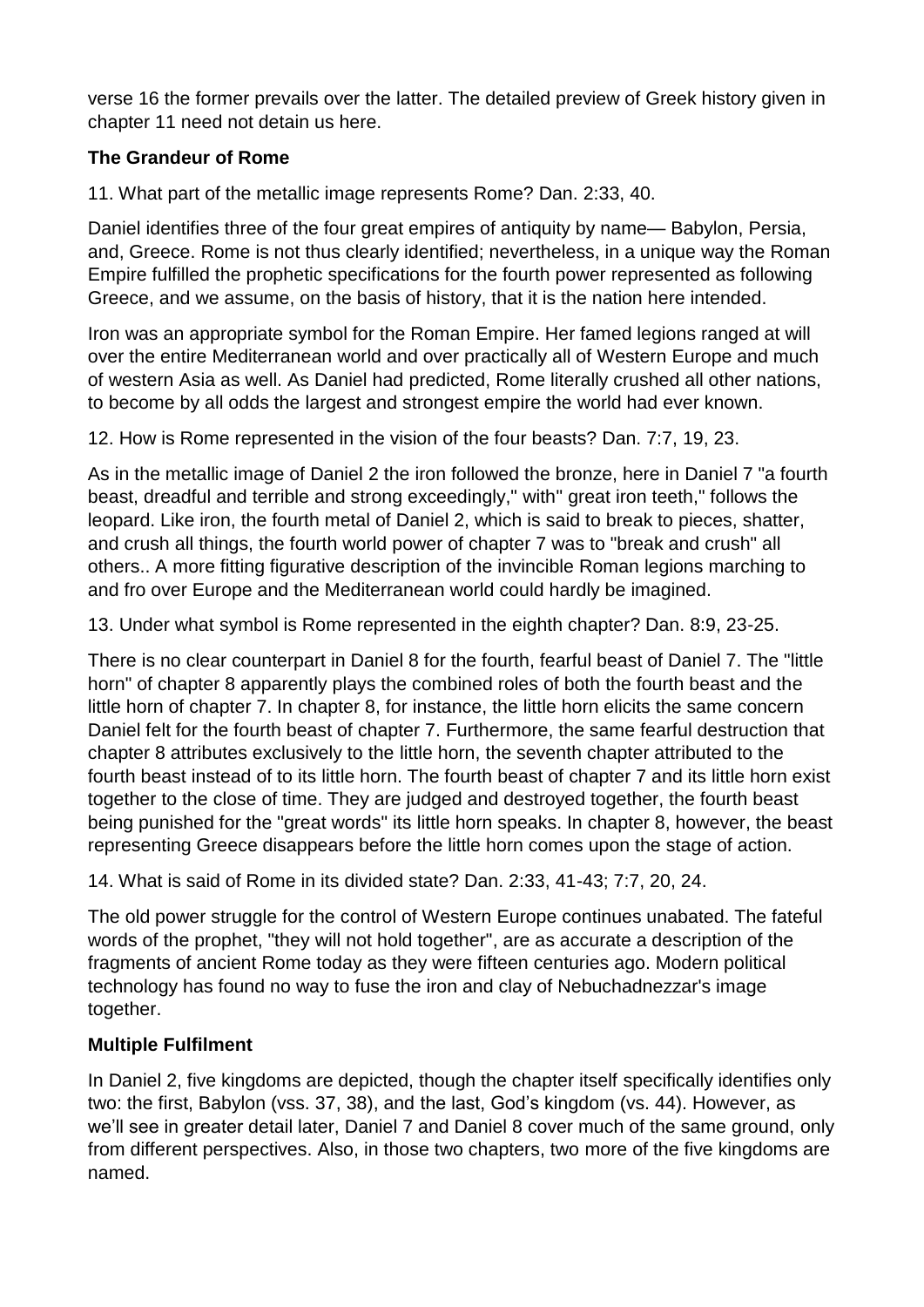verse 16 the former prevails over the latter. The detailed preview of Greek history given in chapter 11 need not detain us here.

## **The Grandeur of Rome**

11. What part of the metallic image represents Rome? Dan. 2:33, 40.

Daniel identifies three of the four great empires of antiquity by name— Babylon, Persia, and, Greece. Rome is not thus clearly identified; nevertheless, in a unique way the Roman Empire fulfilled the prophetic specifications for the fourth power represented as following Greece, and we assume, on the basis of history, that it is the nation here intended.

Iron was an appropriate symbol for the Roman Empire. Her famed legions ranged at will over the entire Mediterranean world and over practically all of Western Europe and much of western Asia as well. As Daniel had predicted, Rome literally crushed all other nations, to become by all odds the largest and strongest empire the world had ever known.

12. How is Rome represented in the vision of the four beasts? Dan. 7:7, 19, 23.

As in the metallic image of Daniel 2 the iron followed the bronze, here in Daniel 7 "a fourth beast, dreadful and terrible and strong exceedingly," with" great iron teeth," follows the leopard. Like iron, the fourth metal of Daniel 2, which is said to break to pieces, shatter, and crush all things, the fourth world power of chapter 7 was to "break and crush" all others.. A more fitting figurative description of the invincible Roman legions marching to and fro over Europe and the Mediterranean world could hardly be imagined.

13. Under what symbol is Rome represented in the eighth chapter? Dan. 8:9, 23-25.

There is no clear counterpart in Daniel 8 for the fourth, fearful beast of Daniel 7. The "little horn" of chapter 8 apparently plays the combined roles of both the fourth beast and the little horn of chapter 7. In chapter 8, for instance, the little horn elicits the same concern Daniel felt for the fourth beast of chapter 7. Furthermore, the same fearful destruction that chapter 8 attributes exclusively to the little horn, the seventh chapter attributed to the fourth beast instead of to its little horn. The fourth beast of chapter 7 and its little horn exist together to the close of time. They are judged and destroyed together, the fourth beast being punished for the "great words" its little horn speaks. In chapter 8, however, the beast representing Greece disappears before the little horn comes upon the stage of action.

14. What is said of Rome in its divided state? Dan. 2:33, 41-43; 7:7, 20, 24.

The old power struggle for the control of Western Europe continues unabated. The fateful words of the prophet, "they will not hold together", are as accurate a description of the fragments of ancient Rome today as they were fifteen centuries ago. Modern political technology has found no way to fuse the iron and clay of Nebuchadnezzar's image together.

## **Multiple Fulfilment**

In Daniel 2, five kingdoms are depicted, though the chapter itself specifically identifies only two: the first, Babylon (vss. 37, 38), and the last, God's kingdom (vs. 44). However, as we'll see in greater detail later, Daniel 7 and Daniel 8 cover much of the same ground, only from different perspectives. Also, in those two chapters, two more of the five kingdoms are named.